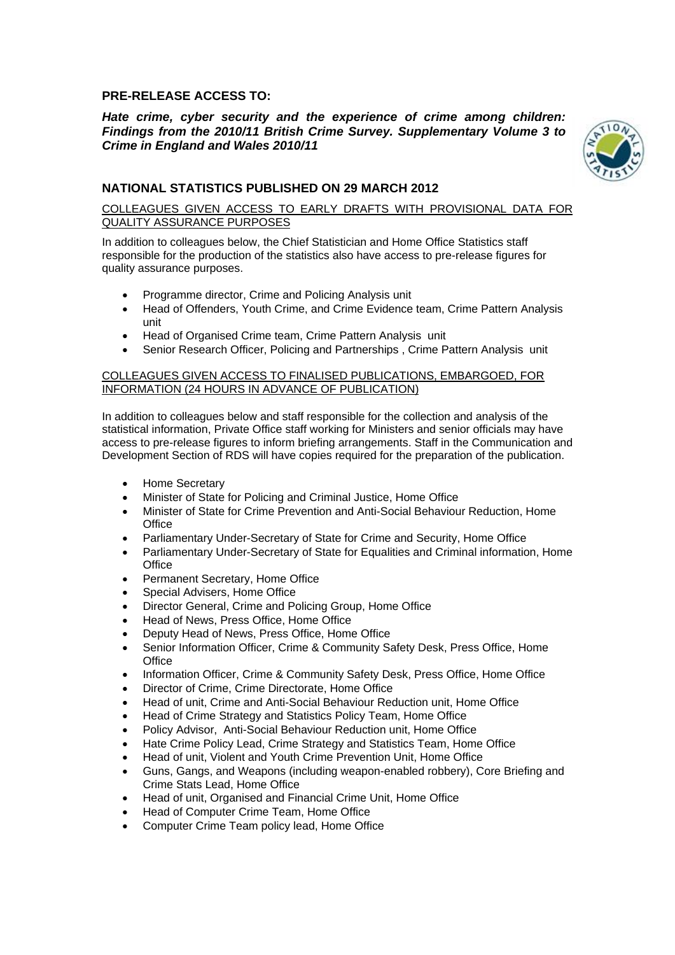# **PRE-RELEASE ACCESS TO:**

### *Hate crime, cyber security and the experience of crime among children: Findings from the 2010/11 British Crime Survey. Supplementary Volume 3 to Crime in England and Wales 2010/11*



# **NATIONAL STATISTICS PUBLISHED ON 29 MARCH 2012**

# COLLEAGUES GIVEN ACCESS TO EARLY DRAFTS WITH PROVISIONAL DATA FOR QUALITY ASSURANCE PURPOSES

In addition to colleagues below, the Chief Statistician and Home Office Statistics staff responsible for the production of the statistics also have access to pre-release figures for quality assurance purposes.

- Programme director, Crime and Policing Analysis unit
- Head of Offenders, Youth Crime, and Crime Evidence team, Crime Pattern Analysis unit
- Head of Organised Crime team, Crime Pattern Analysis unit
- Senior Research Officer, Policing and Partnerships , Crime Pattern Analysis unit

#### COLLEAGUES GIVEN ACCESS TO FINALISED PUBLICATIONS, EMBARGOED, FOR INFORMATION (24 HOURS IN ADVANCE OF PUBLICATION)

In addition to colleagues below and staff responsible for the collection and analysis of the statistical information, Private Office staff working for Ministers and senior officials may have access to pre-release figures to inform briefing arrangements. Staff in the Communication and Development Section of RDS will have copies required for the preparation of the publication.

- Home Secretary
- Minister of State for Policing and Criminal Justice, Home Office
- Minister of State for Crime Prevention and Anti-Social Behaviour Reduction, Home **Office**
- Parliamentary Under-Secretary of State for Crime and Security, Home Office
- Parliamentary Under-Secretary of State for Equalities and Criminal information, Home **Office**
- Permanent Secretary, Home Office
- Special Advisers, Home Office
- Director General, Crime and Policing Group, Home Office
- Head of News, Press Office, Home Office
- Deputy Head of News, Press Office, Home Office
- Senior Information Officer, Crime & Community Safety Desk, Press Office, Home **Office**
- Information Officer, Crime & Community Safety Desk, Press Office, Home Office
- Director of Crime, Crime Directorate, Home Office
- Head of unit, Crime and Anti-Social Behaviour Reduction unit, Home Office
- Head of Crime Strategy and Statistics Policy Team, Home Office
- Policy Advisor, Anti-Social Behaviour Reduction unit, Home Office
- Hate Crime Policy Lead, Crime Strategy and Statistics Team, Home Office
- Head of unit, Violent and Youth Crime Prevention Unit, Home Office
- Guns, Gangs, and Weapons (including weapon-enabled robbery), Core Briefing and Crime Stats Lead, Home Office
- Head of unit, Organised and Financial Crime Unit, Home Office
- Head of Computer Crime Team, Home Office
- Computer Crime Team policy lead, Home Office